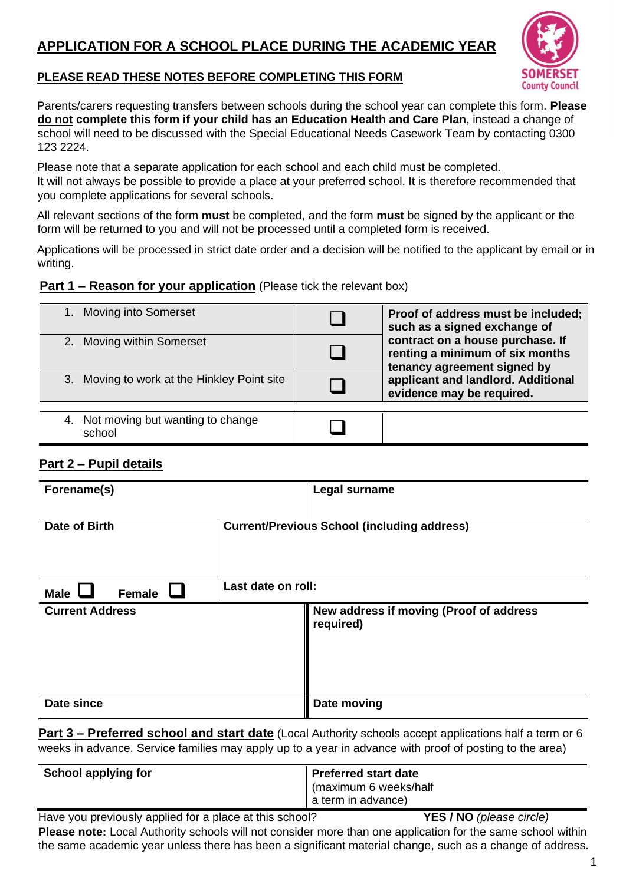# **APPLICATION FOR A SCHOOL PLACE DURING THE ACADEMIC YEAR**

#### **PLEASE READ THESE NOTES BEFORE COMPLETING THIS FORM**

Parents/carers requesting transfers between schools during the school year can complete this form. **Please do not complete this form if your child has an Education Health and Care Plan**, instead a change of school will need to be discussed with the Special Educational Needs Casework Team by contacting 0300 123 2224.

Please note that a separate application for each school and each child must be completed.

It will not always be possible to provide a place at your preferred school. It is therefore recommended that you complete applications for several schools.

All relevant sections of the form **must** be completed, and the form **must** be signed by the applicant or the form will be returned to you and will not be processed until a completed form is received.

Applications will be processed in strict date order and a decision will be notified to the applicant by email or in writing.

#### **Part 1 – Reason for your application** (Please tick the relevant box)

| 1. Moving into Somerset                       | Proof of address must be included;<br>such as a signed exchange of                                 |
|-----------------------------------------------|----------------------------------------------------------------------------------------------------|
| 2. Moving within Somerset                     | contract on a house purchase. If<br>renting a minimum of six months<br>tenancy agreement signed by |
| 3. Moving to work at the Hinkley Point site   | applicant and landlord. Additional<br>evidence may be required.                                    |
|                                               |                                                                                                    |
| 4. Not moving but wanting to change<br>school |                                                                                                    |

## **Part 2 – Pupil details**

| Forename(s)                             | Legal surname                                        |  |  |
|-----------------------------------------|------------------------------------------------------|--|--|
| Date of Birth                           | <b>Current/Previous School (including address)</b>   |  |  |
| Male $\overline{\phantom{a}}$<br>Female | Last date on roll:                                   |  |  |
| <b>Current Address</b>                  | New address if moving (Proof of address<br>required) |  |  |
| Date since                              | Date moving                                          |  |  |

**Part 3 – Preferred school and start date** (Local Authority schools accept applications half a term or 6 weeks in advance. Service families may apply up to a year in advance with proof of posting to the area)

| School applying for | <b>Preferred start date</b> |
|---------------------|-----------------------------|
|                     | (maximum 6 weeks/half       |
|                     | a term in advance)          |

Have you previously applied for a place at this school? **YES / NO** *(please circle)*  **Please note:** Local Authority schools will not consider more than one application for the same school within the same academic year unless there has been a significant material change, such as a change of address.

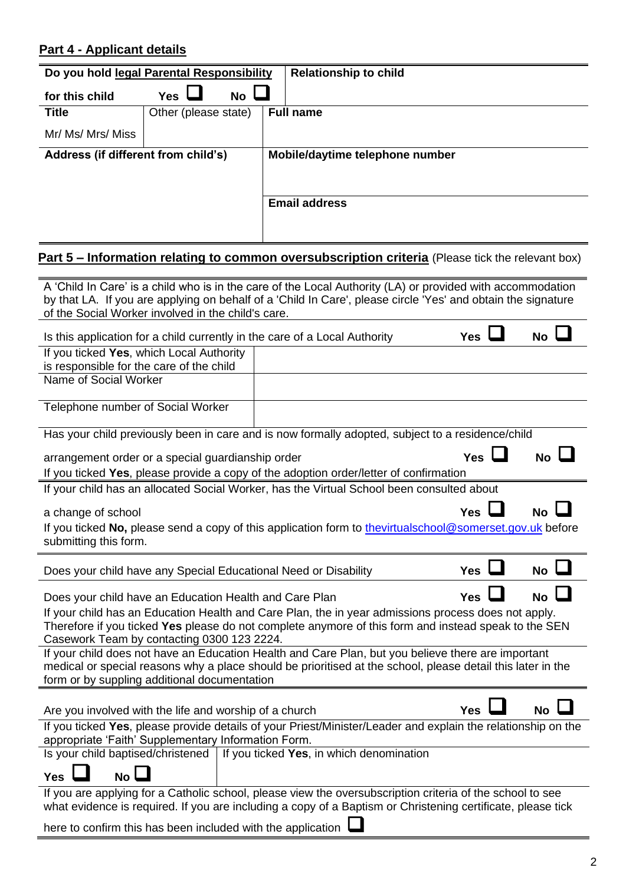## **Part 4 - Applicant details**

| Do you hold legal Parental Responsibility                       |                                                                                       | <b>Relationship to child</b>                                                                                 |            |                 |
|-----------------------------------------------------------------|---------------------------------------------------------------------------------------|--------------------------------------------------------------------------------------------------------------|------------|-----------------|
| for this child                                                  | <b>Yes</b><br><b>No</b>                                                               |                                                                                                              |            |                 |
| <b>Title</b>                                                    | Other (please state)                                                                  | <b>Full name</b>                                                                                             |            |                 |
| Mr/ Ms/ Mrs/ Miss                                               |                                                                                       |                                                                                                              |            |                 |
| Address (if different from child's)                             |                                                                                       | Mobile/daytime telephone number                                                                              |            |                 |
|                                                                 |                                                                                       |                                                                                                              |            |                 |
|                                                                 |                                                                                       | <b>Email address</b>                                                                                         |            |                 |
|                                                                 |                                                                                       |                                                                                                              |            |                 |
|                                                                 |                                                                                       |                                                                                                              |            |                 |
|                                                                 |                                                                                       | <b>Part 5 – Information relating to common oversubscription criteria</b> (Please tick the relevant box)      |            |                 |
|                                                                 |                                                                                       | A 'Child In Care' is a child who is in the care of the Local Authority (LA) or provided with accommodation   |            |                 |
| of the Social Worker involved in the child's care.              |                                                                                       | by that LA. If you are applying on behalf of a 'Child In Care', please circle 'Yes' and obtain the signature |            |                 |
|                                                                 |                                                                                       |                                                                                                              |            |                 |
| If you ticked Yes, which Local Authority                        |                                                                                       | Is this application for a child currently in the care of a Local Authority                                   | Yes I      | <b>No</b>       |
| is responsible for the care of the child                        |                                                                                       |                                                                                                              |            |                 |
| Name of Social Worker                                           |                                                                                       |                                                                                                              |            |                 |
| Telephone number of Social Worker                               |                                                                                       |                                                                                                              |            |                 |
|                                                                 |                                                                                       | Has your child previously been in care and is now formally adopted, subject to a residence/child             |            |                 |
| arrangement order or a special guardianship order               |                                                                                       |                                                                                                              | Yes $\Box$ | $No$ $\Box$     |
|                                                                 |                                                                                       |                                                                                                              |            |                 |
|                                                                 | If you ticked Yes, please provide a copy of the adoption order/letter of confirmation |                                                                                                              |            |                 |
|                                                                 |                                                                                       | If your child has an allocated Social Worker, has the Virtual School been consulted about                    |            |                 |
| a change of school                                              |                                                                                       |                                                                                                              | Yes        |                 |
|                                                                 |                                                                                       | If you ticked No, please send a copy of this application form to thevirtualschool@somerset.gov.uk before     |            |                 |
| submitting this form.                                           |                                                                                       |                                                                                                              |            |                 |
| Does your child have any Special Educational Need or Disability |                                                                                       |                                                                                                              | <b>Yes</b> | No <sub>1</sub> |
| Does your child have an Education Health and Care Plan          |                                                                                       |                                                                                                              | <b>Yes</b> | <b>No</b>       |
|                                                                 |                                                                                       | If your child has an Education Health and Care Plan, the in year admissions process does not apply.          |            |                 |
|                                                                 |                                                                                       | Therefore if you ticked Yes please do not complete anymore of this form and instead speak to the SEN         |            |                 |
| Casework Team by contacting 0300 123 2224.                      |                                                                                       | If your child does not have an Education Health and Care Plan, but you believe there are important           |            |                 |
|                                                                 |                                                                                       | medical or special reasons why a place should be prioritised at the school, please detail this later in the  |            |                 |
| form or by suppling additional documentation                    |                                                                                       |                                                                                                              |            |                 |
| Are you involved with the life and worship of a church          |                                                                                       |                                                                                                              | Yes        | <b>No</b>       |
| appropriate 'Faith' Supplementary Information Form.             |                                                                                       | If you ticked Yes, please provide details of your Priest/Minister/Leader and explain the relationship on the |            |                 |
| Is your child baptised/christened                               |                                                                                       | If you ticked Yes, in which denomination                                                                     |            |                 |
| <b>No</b><br><b>Yes</b>                                         |                                                                                       |                                                                                                              |            |                 |

here to confirm this has been included with the application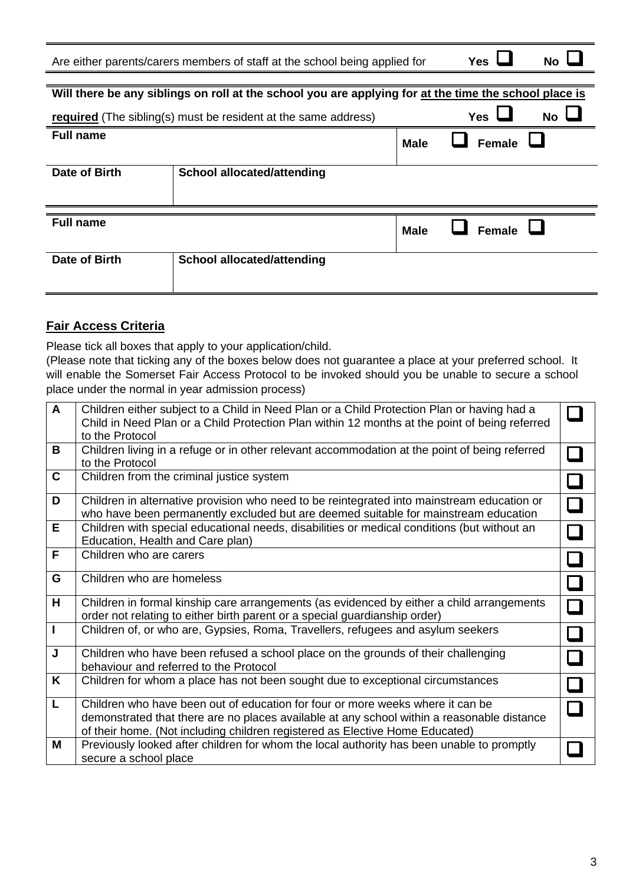|                  | Are either parents/carers members of staff at the school being applied for                            |             | Yes           | No l |
|------------------|-------------------------------------------------------------------------------------------------------|-------------|---------------|------|
|                  |                                                                                                       |             |               |      |
|                  | Will there be any siblings on roll at the school you are applying for at the time the school place is |             |               |      |
|                  | <b>required</b> (The sibling(s) must be resident at the same address)                                 |             | <b>Yes</b>    | No   |
| <b>Full name</b> |                                                                                                       | <b>Male</b> | <b>Female</b> |      |
| Date of Birth    | <b>School allocated/attending</b>                                                                     |             |               |      |
| <b>Full name</b> |                                                                                                       | <b>Male</b> | <b>Female</b> |      |
| Date of Birth    | <b>School allocated/attending</b>                                                                     |             |               |      |

## **Fair Access Criteria**

Please tick all boxes that apply to your application/child.

(Please note that ticking any of the boxes below does not guarantee a place at your preferred school. It will enable the Somerset Fair Access Protocol to be invoked should you be unable to secure a school place under the normal in year admission process)

| A | Children either subject to a Child in Need Plan or a Child Protection Plan or having had a<br>Child in Need Plan or a Child Protection Plan within 12 months at the point of being referred<br>to the Protocol                                               |  |
|---|--------------------------------------------------------------------------------------------------------------------------------------------------------------------------------------------------------------------------------------------------------------|--|
| B | Children living in a refuge or in other relevant accommodation at the point of being referred<br>to the Protocol                                                                                                                                             |  |
| C | Children from the criminal justice system                                                                                                                                                                                                                    |  |
| D | Children in alternative provision who need to be reintegrated into mainstream education or<br>who have been permanently excluded but are deemed suitable for mainstream education                                                                            |  |
| E | Children with special educational needs, disabilities or medical conditions (but without an<br>Education, Health and Care plan)                                                                                                                              |  |
| F | Children who are carers                                                                                                                                                                                                                                      |  |
| G | Children who are homeless                                                                                                                                                                                                                                    |  |
| H | Children in formal kinship care arrangements (as evidenced by either a child arrangements<br>order not relating to either birth parent or a special guardianship order)                                                                                      |  |
|   | Children of, or who are, Gypsies, Roma, Travellers, refugees and asylum seekers                                                                                                                                                                              |  |
| J | Children who have been refused a school place on the grounds of their challenging<br>behaviour and referred to the Protocol                                                                                                                                  |  |
| K | Children for whom a place has not been sought due to exceptional circumstances                                                                                                                                                                               |  |
| L | Children who have been out of education for four or more weeks where it can be<br>demonstrated that there are no places available at any school within a reasonable distance<br>of their home. (Not including children registered as Elective Home Educated) |  |
| M | Previously looked after children for whom the local authority has been unable to promptly<br>secure a school place                                                                                                                                           |  |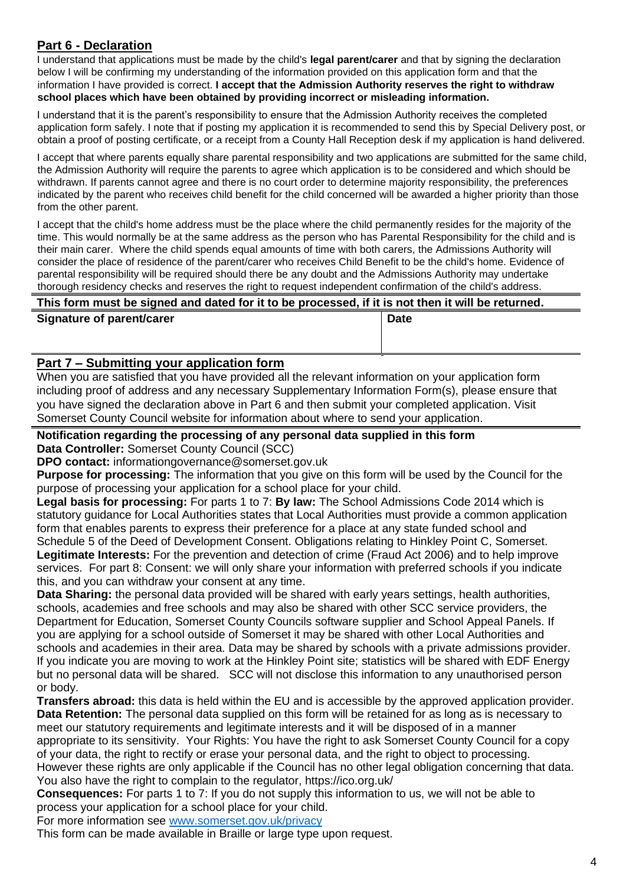## **Part 6 - Declaration**

I understand that applications must be made by the child's **legal parent/carer** and that by signing the declaration below I will be confirming my understanding of the information provided on this application form and that the information I have provided is correct. **I accept that the Admission Authority reserves the right to withdraw school places which have been obtained by providing incorrect or misleading information.**

I understand that it is the parent's responsibility to ensure that the Admission Authority receives the completed application form safely. I note that if posting my application it is recommended to send this by Special Delivery post, or obtain a proof of posting certificate, or a receipt from a County Hall Reception desk if my application is hand delivered.

I accept that where parents equally share parental responsibility and two applications are submitted for the same child, the Admission Authority will require the parents to agree which application is to be considered and which should be withdrawn. If parents cannot agree and there is no court order to determine majority responsibility, the preferences indicated by the parent who receives child benefit for the child concerned will be awarded a higher priority than those from the other parent.

I accept that the child's home address must be the place where the child permanently resides for the majority of the time. This would normally be at the same address as the person who has Parental Responsibility for the child and is their main carer. Where the child spends equal amounts of time with both carers, the Admissions Authority will consider the place of residence of the parent/carer who receives Child Benefit to be the child's home. Evidence of parental responsibility will be required should there be any doubt and the Admissions Authority may undertake thorough residency checks and reserves the right to request independent confirmation of the child's address.

#### **This form must be signed and dated for it to be processed, if it is not then it will be returned.**

| <b>Signature of parent/carer</b> | <b>Date</b> |
|----------------------------------|-------------|
|                                  |             |

#### **Part 7 – Submitting your application form**

When you are satisfied that you have provided all the relevant information on your application form including proof of address and any necessary Supplementary Information Form(s), please ensure that you have signed the declaration above in Part 6 and then submit your completed application. Visit Somerset County Council website for information about where to send your application.

**Notification regarding the processing of any personal data supplied in this form Data Controller:** Somerset County Council (SCC)

**DPO contact:** informationgovernance@somerset.gov.uk

**Purpose for processing:** The information that you give on this form will be used by the Council for the purpose of processing your application for a school place for your child.

**Legal basis for processing:** For parts 1 to 7: **By law:** The School Admissions Code 2014 which is statutory guidance for Local Authorities states that Local Authorities must provide a common application form that enables parents to express their preference for a place at any state funded school and Schedule 5 of the Deed of Development Consent. Obligations relating to Hinkley Point C, Somerset. **Legitimate Interests:** For the prevention and detection of crime (Fraud Act 2006) and to help improve services. For part 8: Consent: we will only share your information with preferred schools if you indicate this, and you can withdraw your consent at any time.

**Data Sharing:** the personal data provided will be shared with early years settings, health authorities, schools, academies and free schools and may also be shared with other SCC service providers, the Department for Education, Somerset County Councils software supplier and School Appeal Panels. If you are applying for a school outside of Somerset it may be shared with other Local Authorities and schools and academies in their area. Data may be shared by schools with a private admissions provider. If you indicate you are moving to work at the Hinkley Point site; statistics will be shared with EDF Energy but no personal data will be shared. SCC will not disclose this information to any unauthorised person or body.

**Transfers abroad:** this data is held within the EU and is accessible by the approved application provider. **Data Retention:** The personal data supplied on this form will be retained for as long as is necessary to meet our statutory requirements and legitimate interests and it will be disposed of in a manner appropriate to its sensitivity. Your Rights: You have the right to ask Somerset County Council for a copy of your data, the right to rectify or erase your personal data, and the right to object to processing. However these rights are only applicable if the Council has no other legal obligation concerning that data. You also have the right to complain to the regulator, https://ico.org.uk/

**Consequences:** For parts 1 to 7: If you do not supply this information to us, we will not be able to process your application for a school place for your child.

For more information see [www.somerset.gov.uk/privacy](http://www.somerset.gov.uk/privacy)

This form can be made available in Braille or large type upon request.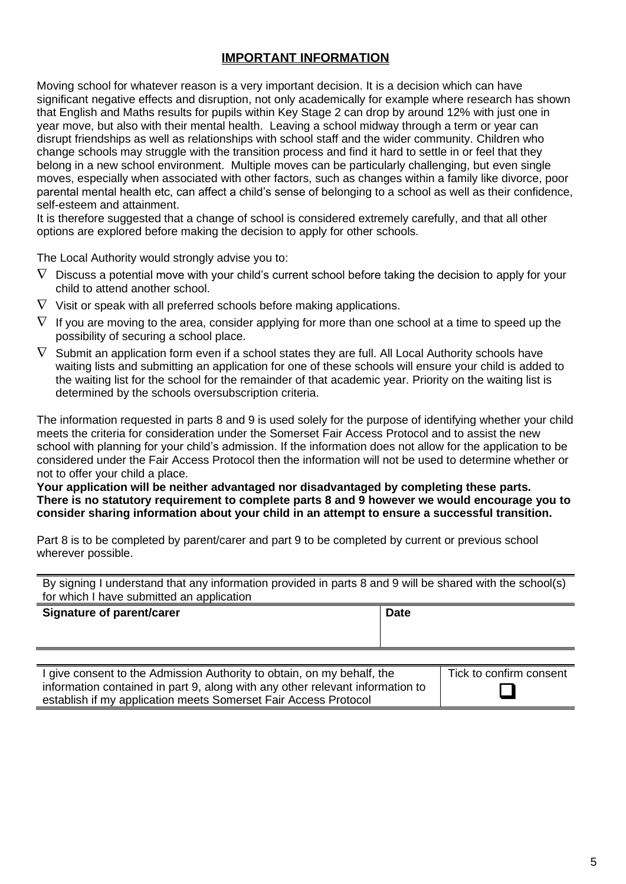#### **IMPORTANT INFORMATION**

Moving school for whatever reason is a very important decision. It is a decision which can have significant negative effects and disruption, not only academically for example where research has shown that English and Maths results for pupils within Key Stage 2 can drop by around 12% with just one in year move, but also with their mental health. Leaving a school midway through a term or year can disrupt friendships as well as relationships with school staff and the wider community. Children who change schools may struggle with the transition process and find it hard to settle in or feel that they belong in a new school environment. Multiple moves can be particularly challenging, but even single moves, especially when associated with other factors, such as changes within a family like divorce, poor parental mental health etc, can affect a child's sense of belonging to a school as well as their confidence, self-esteem and attainment.

It is therefore suggested that a change of school is considered extremely carefully, and that all other options are explored before making the decision to apply for other schools.

The Local Authority would strongly advise you to:

- $\nabla$  Discuss a potential move with your child's current school before taking the decision to apply for your child to attend another school.
- $\nabla$  Visit or speak with all preferred schools before making applications.
- $\nabla$  If you are moving to the area, consider applying for more than one school at a time to speed up the possibility of securing a school place.
- $\nabla$  Submit an application form even if a school states they are full. All Local Authority schools have waiting lists and submitting an application for one of these schools will ensure your child is added to the waiting list for the school for the remainder of that academic year. Priority on the waiting list is determined by the schools oversubscription criteria.

The information requested in parts 8 and 9 is used solely for the purpose of identifying whether your child meets the criteria for consideration under the Somerset Fair Access Protocol and to assist the new school with planning for your child's admission. If the information does not allow for the application to be considered under the Fair Access Protocol then the information will not be used to determine whether or not to offer your child a place.

**Your application will be neither advantaged nor disadvantaged by completing these parts. There is no statutory requirement to complete parts 8 and 9 however we would encourage you to consider sharing information about your child in an attempt to ensure a successful transition.**

Part 8 is to be completed by parent/carer and part 9 to be completed by current or previous school wherever possible.

By signing I understand that any information provided in parts 8 and 9 will be shared with the school(s) for which I have submitted an application

| Signature of parent/carer                                                     | <b>Date</b> |                         |
|-------------------------------------------------------------------------------|-------------|-------------------------|
|                                                                               |             |                         |
|                                                                               |             |                         |
| I give consent to the Admission Authority to obtain, on my behalf, the        |             | Tick to confirm consent |
| information contained in part 9, along with any other relevant information to |             |                         |
| establish if my application meets Somerset Fair Access Protocol               |             |                         |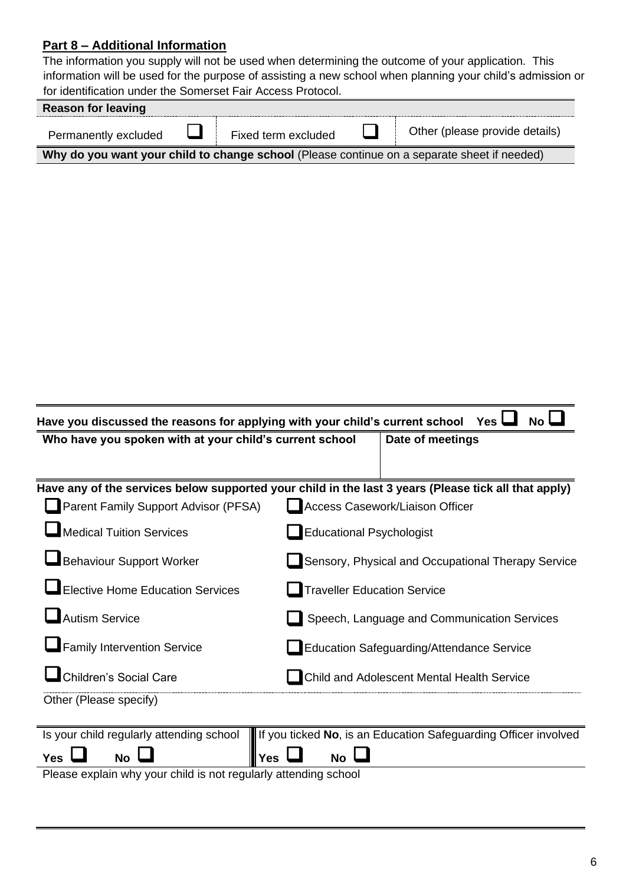# **Part 8 – Additional Information**

The information you supply will not be used when determining the outcome of your application. This information will be used for the purpose of assisting a new school when planning your child's admission or for identification under the Somerset Fair Access Protocol.

| <b>Reason for leaving</b>                                                                            |                     |                                                                 |                                                                 |
|------------------------------------------------------------------------------------------------------|---------------------|-----------------------------------------------------------------|-----------------------------------------------------------------|
| Permanently excluded                                                                                 | Fixed term excluded |                                                                 | Other (please provide details)                                  |
| Why do you want your child to change school (Please continue on a separate sheet if needed)          |                     |                                                                 |                                                                 |
|                                                                                                      |                     |                                                                 |                                                                 |
|                                                                                                      |                     |                                                                 |                                                                 |
|                                                                                                      |                     |                                                                 |                                                                 |
|                                                                                                      |                     |                                                                 |                                                                 |
|                                                                                                      |                     |                                                                 |                                                                 |
|                                                                                                      |                     |                                                                 |                                                                 |
|                                                                                                      |                     |                                                                 |                                                                 |
|                                                                                                      |                     |                                                                 |                                                                 |
|                                                                                                      |                     |                                                                 |                                                                 |
|                                                                                                      |                     |                                                                 |                                                                 |
| Have you discussed the reasons for applying with your child's current school                         |                     |                                                                 | <b>No</b><br>Yes                                                |
| Who have you spoken with at your child's current school                                              |                     |                                                                 | Date of meetings                                                |
|                                                                                                      |                     |                                                                 |                                                                 |
| Have any of the services below supported your child in the last 3 years (Please tick all that apply) |                     |                                                                 |                                                                 |
| Parent Family Support Advisor (PFSA)                                                                 |                     |                                                                 | Access Casework/Liaison Officer                                 |
| Medical Tuition Services                                                                             |                     | <b>Educational Psychologist</b>                                 |                                                                 |
| <b>Behaviour Support Worker</b>                                                                      |                     |                                                                 | Sensory, Physical and Occupational Therapy Service              |
| <b>Elective Home Education Services</b>                                                              |                     |                                                                 | <b>Traveller Education Service</b>                              |
| <b>Autism Service</b>                                                                                |                     |                                                                 | Speech, Language and Communication Services                     |
| <b>Family Intervention Service</b>                                                                   |                     |                                                                 | <b>Education Safeguarding/Attendance Service</b>                |
| <b>Children's Social Care</b>                                                                        |                     |                                                                 | Child and Adolescent Mental Health Service                      |
| Other (Please specify)                                                                               |                     |                                                                 |                                                                 |
|                                                                                                      |                     |                                                                 |                                                                 |
| Is your child regularly attending school<br><b>Yes</b><br><b>No</b>                                  | <b>No</b>           |                                                                 | If you ticked No, is an Education Safeguarding Officer involved |
|                                                                                                      | Yes                 | Please explain why your child is not regularly attending school |                                                                 |